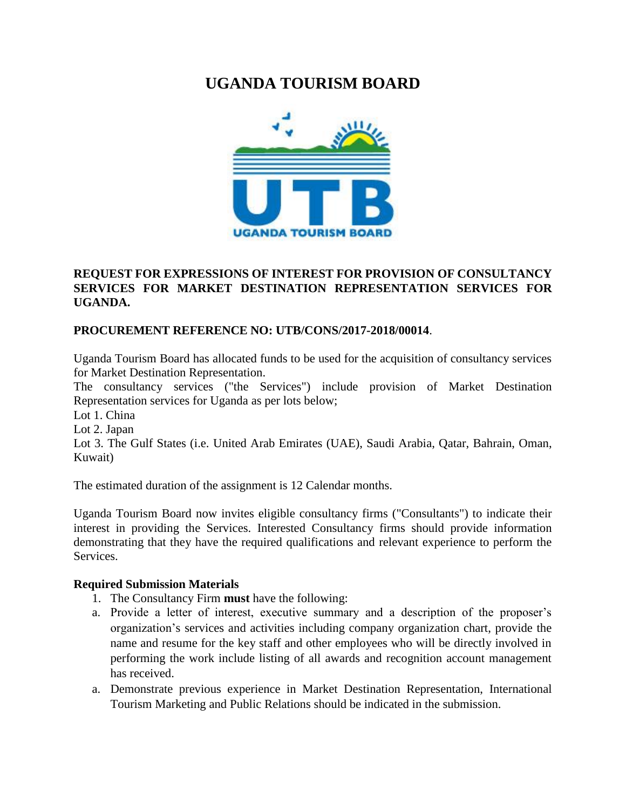# **UGANDA TOURISM BOARD**



# **REQUEST FOR EXPRESSIONS OF INTEREST FOR PROVISION OF CONSULTANCY SERVICES FOR MARKET DESTINATION REPRESENTATION SERVICES FOR UGANDA.**

# **PROCUREMENT REFERENCE NO: UTB/CONS/2017-2018/00014**.

Uganda Tourism Board has allocated funds to be used for the acquisition of consultancy services for Market Destination Representation.

The consultancy services ("the Services") include provision of Market Destination Representation services for Uganda as per lots below;

Lot 1. China

Lot 2. Japan

Lot 3. The Gulf States (i.e. United Arab Emirates (UAE), Saudi Arabia, Qatar, Bahrain, Oman, Kuwait)

The estimated duration of the assignment is 12 Calendar months.

Uganda Tourism Board now invites eligible consultancy firms ("Consultants") to indicate their interest in providing the Services. Interested Consultancy firms should provide information demonstrating that they have the required qualifications and relevant experience to perform the **Services** 

#### **Required Submission Materials**

- 1. The Consultancy Firm **must** have the following:
- a. Provide a letter of interest, executive summary and a description of the proposer's organization's services and activities including company organization chart, provide the name and resume for the key staff and other employees who will be directly involved in performing the work include listing of all awards and recognition account management has received.
- a. Demonstrate previous experience in Market Destination Representation, International Tourism Marketing and Public Relations should be indicated in the submission.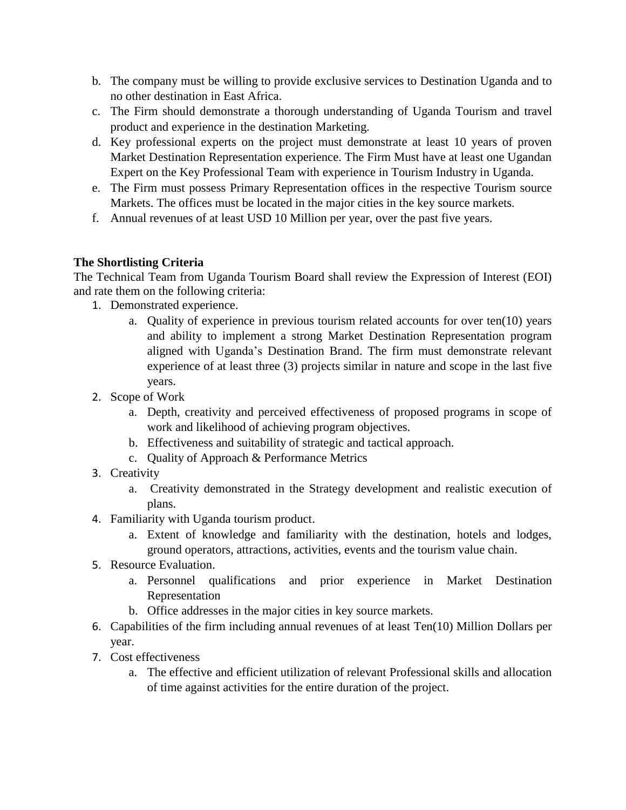- b. The company must be willing to provide exclusive services to Destination Uganda and to no other destination in East Africa.
- c. The Firm should demonstrate a thorough understanding of Uganda Tourism and travel product and experience in the destination Marketing.
- d. Key professional experts on the project must demonstrate at least 10 years of proven Market Destination Representation experience. The Firm Must have at least one Ugandan Expert on the Key Professional Team with experience in Tourism Industry in Uganda.
- e. The Firm must possess Primary Representation offices in the respective Tourism source Markets. The offices must be located in the major cities in the key source markets.
- f. Annual revenues of at least USD 10 Million per year, over the past five years.

# **The Shortlisting Criteria**

The Technical Team from Uganda Tourism Board shall review the Expression of Interest (EOI) and rate them on the following criteria:

- 1. Demonstrated experience.
	- a. Quality of experience in previous tourism related accounts for over ten(10) years and ability to implement a strong Market Destination Representation program aligned with Uganda's Destination Brand. The firm must demonstrate relevant experience of at least three (3) projects similar in nature and scope in the last five years.
- 2. Scope of Work
	- a. Depth, creativity and perceived effectiveness of proposed programs in scope of work and likelihood of achieving program objectives.
	- b. Effectiveness and suitability of strategic and tactical approach.
	- c. Quality of Approach & Performance Metrics
- 3. Creativity
	- a. Creativity demonstrated in the Strategy development and realistic execution of plans.
- 4. Familiarity with Uganda tourism product.
	- a. Extent of knowledge and familiarity with the destination, hotels and lodges, ground operators, attractions, activities, events and the tourism value chain.
- 5. Resource Evaluation.
	- a. Personnel qualifications and prior experience in Market Destination Representation
	- b. Office addresses in the major cities in key source markets.
- 6. Capabilities of the firm including annual revenues of at least Ten(10) Million Dollars per year.
- 7. Cost effectiveness
	- a. The effective and efficient utilization of relevant Professional skills and allocation of time against activities for the entire duration of the project.